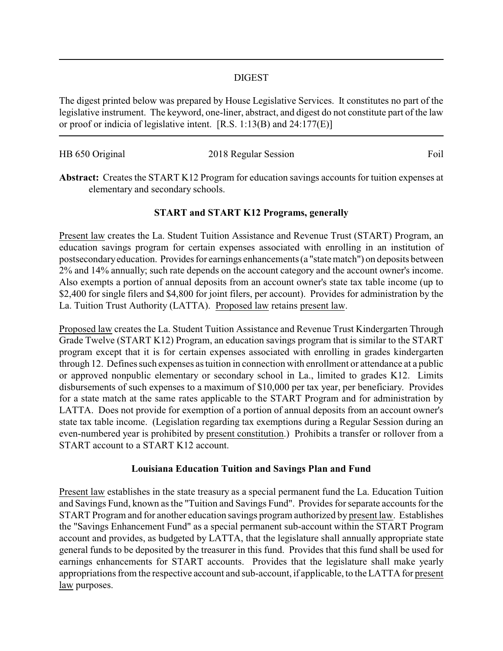#### DIGEST

The digest printed below was prepared by House Legislative Services. It constitutes no part of the legislative instrument. The keyword, one-liner, abstract, and digest do not constitute part of the law or proof or indicia of legislative intent. [R.S. 1:13(B) and 24:177(E)]

| HB 650 Original | 2018 Regular Session | Foil |
|-----------------|----------------------|------|

**Abstract:** Creates the START K12 Program for education savings accounts for tuition expenses at elementary and secondary schools.

## **START and START K12 Programs, generally**

Present law creates the La. Student Tuition Assistance and Revenue Trust (START) Program, an education savings program for certain expenses associated with enrolling in an institution of postsecondaryeducation. Provides for earnings enhancements (a "state match") on deposits between 2% and 14% annually; such rate depends on the account category and the account owner's income. Also exempts a portion of annual deposits from an account owner's state tax table income (up to \$2,400 for single filers and \$4,800 for joint filers, per account). Provides for administration by the La. Tuition Trust Authority (LATTA). Proposed law retains present law.

Proposed law creates the La. Student Tuition Assistance and Revenue Trust Kindergarten Through Grade Twelve (START K12) Program, an education savings program that is similar to the START program except that it is for certain expenses associated with enrolling in grades kindergarten through 12. Defines such expenses as tuition in connection with enrollment or attendance at a public or approved nonpublic elementary or secondary school in La., limited to grades K12. Limits disbursements of such expenses to a maximum of \$10,000 per tax year, per beneficiary. Provides for a state match at the same rates applicable to the START Program and for administration by LATTA. Does not provide for exemption of a portion of annual deposits from an account owner's state tax table income. (Legislation regarding tax exemptions during a Regular Session during an even-numbered year is prohibited by present constitution.) Prohibits a transfer or rollover from a START account to a START K12 account.

### **Louisiana Education Tuition and Savings Plan and Fund**

Present law establishes in the state treasury as a special permanent fund the La. Education Tuition and Savings Fund, known as the "Tuition and Savings Fund". Provides for separate accounts for the START Program and for another education savings program authorized by present law. Establishes the "Savings Enhancement Fund" as a special permanent sub-account within the START Program account and provides, as budgeted by LATTA, that the legislature shall annually appropriate state general funds to be deposited by the treasurer in this fund. Provides that this fund shall be used for earnings enhancements for START accounts. Provides that the legislature shall make yearly appropriations from the respective account and sub-account, if applicable, to the LATTA for present law purposes.